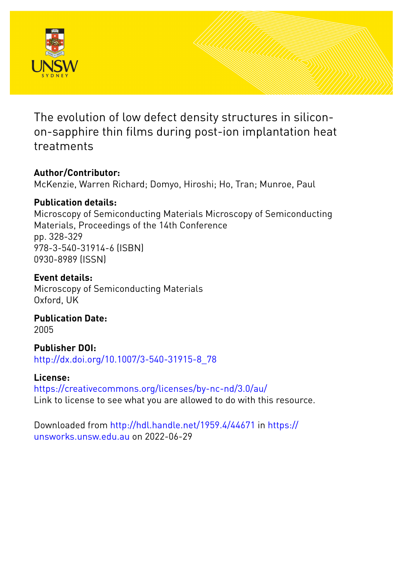

The evolution of low defect density structures in siliconon-sapphire thin films during post-ion implantation heat treatments

# **Author/Contributor:**

McKenzie, Warren Richard; Domyo, Hiroshi; Ho, Tran; Munroe, Paul

# **Publication details:**

Microscopy of Semiconducting Materials Microscopy of Semiconducting Materials, Proceedings of the 14th Conference pp. 328-329 978-3-540-31914-6 (ISBN) 0930-8989 (ISSN)

# **Event details:**

Microscopy of Semiconducting Materials Oxford, UK

## **Publication Date:** 2005

**Publisher DOI:** [http://dx.doi.org/10.1007/3-540-31915-8\\_78](http://dx.doi.org/http://dx.doi.org/10.1007/3-540-31915-8_78)

# **License:**

<https://creativecommons.org/licenses/by-nc-nd/3.0/au/> Link to license to see what you are allowed to do with this resource.

Downloaded from <http://hdl.handle.net/1959.4/44671> in [https://](https://unsworks.unsw.edu.au) [unsworks.unsw.edu.au](https://unsworks.unsw.edu.au) on 2022-06-29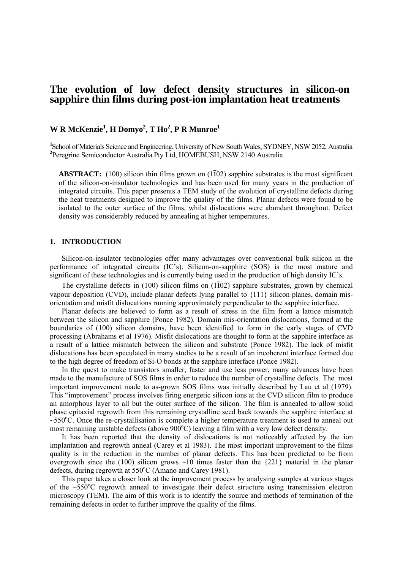## **The evolution of low defect density structures in silicon-onsapphire thin films during post-ion implantation heat treatments**

## **W R McKenzie<sup>1</sup> , H Domyo2 , T Ho2 , P R Munroe<sup>1</sup>**

<sup>1</sup>School of Materials Science and Engineering, University of New South Wales, SYDNEY, NSW 2052, Australia **2** Peregrine Semiconductor Australia Pty Ltd, HOMEBUSH, NSW 2140 Australia

**ABSTRACT:** (100) silicon thin films grown on (1102) sapphire substrates is the most significant of the silicon-on-insulator technologies and has been used for many years in the production of integrated circuits. This paper presents a TEM study of the evolution of crystalline defects during the heat treatments designed to improve the quality of the films. Planar defects were found to be isolated to the outer surface of the films, whilst dislocations were abundant throughout. Defect density was considerably reduced by annealing at higher temperatures.

### **1. INTRODUCTION**

 Silicon-on-insulator technologies offer many advantages over conventional bulk silicon in the performance of integrated circuits (IC's). Silicon-on-sapphire (SOS) is the most mature and significant of these technologies and is currently being used in the production of high density IC's.

The crystalline defects in  $(100)$  silicon films on  $(1\overline{1}02)$  sapphire substrates, grown by chemical vapour deposition (CVD), include planar defects lying parallel to  $\{111\}$  silicon planes, domain misorientation and misfit dislocations running approximately perpendicular to the sapphire interface.

 Planar defects are believed to form as a result of stress in the film from a lattice mismatch between the silicon and sapphire (Ponce 1982). Domain mis-orientation dislocations, formed at the boundaries of (100) silicon domains, have been identified to form in the early stages of CVD processing (Abrahams et al 1976). Misfit dislocations are thought to form at the sapphire interface as a result of a lattice mismatch between the silicon and substrate (Ponce 1982). The lack of misfit dislocations has been speculated in many studies to be a result of an incoherent interface formed due to the high degree of freedom of Si-O bonds at the sapphire interface (Ponce 1982).

 In the quest to make transistors smaller, faster and use less power, many advances have been made to the manufacture of SOS films in order to reduce the number of crystalline defects. The most important improvement made to as-grown SOS films was initially described by Lau et al (1979). This "improvement" process involves firing energetic silicon ions at the CVD silicon film to produce an amorphous layer to all but the outer surface of the silicon. The film is annealed to allow solid phase epitaxial regrowth from this remaining crystalline seed back towards the sapphire interface at  $\sim$ 550 $^{\circ}$ C. Once the re-crystallisation is complete a higher temperature treatment is used to anneal out most remaining unstable defects (above  $900^{\circ}$ C) leaving a film with a very low defect density.

 It has been reported that the density of dislocations is not noticeably affected by the ion implantation and regrowth anneal (Carey et al 1983). The most important improvement to the films quality is in the reduction in the number of planar defects. This has been predicted to be from overgrowth since the (100) silicon grows  $\sim$ 10 times faster than the {221} material in the planar defects, during regrowth at 550°C (Amano and Carey 1981).

 This paper takes a closer look at the improvement process by analysing samples at various stages of the  $\sim 550^{\circ}$ C regrowth anneal to investigate their defect structure using transmission electron microscopy (TEM). The aim of this work is to identify the source and methods of termination of the remaining defects in order to further improve the quality of the films.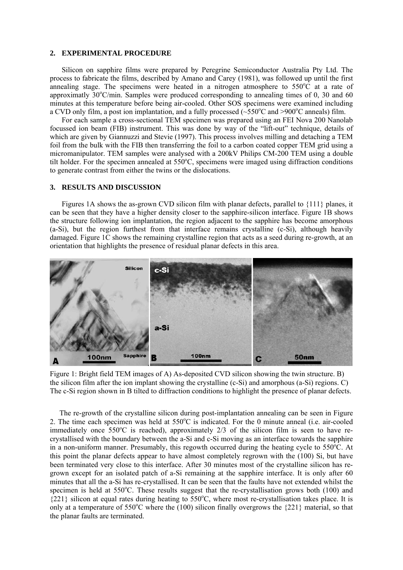### **2. EXPERIMENTAL PROCEDURE**

 Silicon on sapphire films were prepared by Peregrine Semiconductor Australia Pty Ltd. The process to fabricate the films, described by Amano and Carey (1981), was followed up until the first annealing stage. The specimens were heated in a nitrogen atmosphere to  $550^{\circ}$ C at a rate of approximatly  $30^{\circ}$ C/min. Samples were produced corresponding to annealing times of 0, 30 and 60 minutes at this temperature before being air-cooled. Other SOS specimens were examined including a CVD only film, a post ion implantation, and a fully processed  $(\sim 550^{\circ}$ C and >900°C anneals) film.

 For each sample a cross-sectional TEM specimen was prepared using an FEI Nova 200 Nanolab focussed ion beam (FIB) instrument. This was done by way of the "lift-out" technique, details of which are given by Giannuzzi and Stevie (1997). This process involves milling and detaching a TEM foil from the bulk with the FIB then transferring the foil to a carbon coated copper TEM grid using a micromanipulator. TEM samples were analysed with a 200kV Philips CM-200 TEM using a double tilt holder. For the specimen annealed at 550°C, specimens were imaged using diffraction conditions to generate contrast from either the twins or the dislocations.

#### **3. RESULTS AND DISCUSSION**

 Figures 1A shows the as-grown CVD silicon film with planar defects, parallel to {111} planes, it can be seen that they have a higher density closer to the sapphire-silicon interface. Figure 1B shows the structure following ion implantation, the region adjacent to the sapphire has become amorphous (a-Si), but the region furthest from that interface remains crystalline (c-Si), although heavily damaged. Figure 1C shows the remaining crystalline region that acts as a seed during re-growth, at an orientation that highlights the presence of residual planar defects in this area.



Figure 1: Bright field TEM images of A) As-deposited CVD silicon showing the twin structure. B) the silicon film after the ion implant showing the crystalline (c-Si) and amorphous (a-Si) regions. C) The c-Si region shown in B tilted to diffraction conditions to highlight the presence of planar defects.

 The re-growth of the crystalline silicon during post-implantation annealing can be seen in Figure 2. The time each specimen was held at  $550^{\circ}$ C is indicated. For the 0 minute anneal (i.e. air-cooled immediately once  $550^{\circ}$ C is reached), approximately 2/3 of the silicon film is seen to have recrystallised with the boundary between the a-Si and c-Si moving as an interface towards the sapphire in a non-uniform manner. Presumably, this regowth occurred during the heating cycle to  $550^{\circ}$ C. At this point the planar defects appear to have almost completely regrown with the (100) Si, but have been terminated very close to this interface. After 30 minutes most of the crystalline silicon has regrown except for an isolated patch of a-Si remaining at the sapphire interface. It is only after 60 minutes that all the a-Si has re-crystallised. It can be seen that the faults have not extended whilst the specimen is held at  $550^{\circ}$ C. These results suggest that the re-crystallisation grows both (100) and  $\{221\}$  silicon at equal rates during heating to 550°C, where most re-crystallisation takes place. It is only at a temperature of  $550^{\circ}$ C where the (100) silicon finally overgrows the {221} material, so that the planar faults are terminated.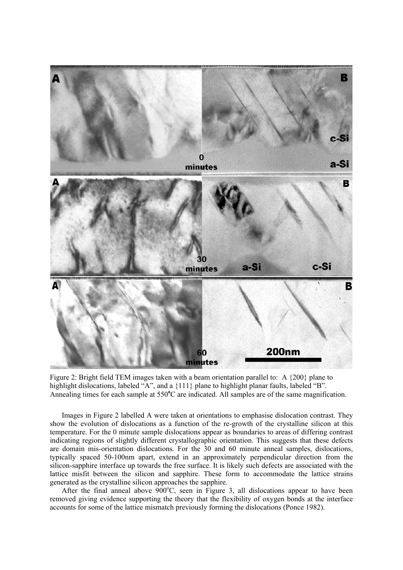

Figure 2: Bright field TEM images taken with a beam orientation parallel to: A {200} plane to highlight dislocations, labeled "A", and a  $\{111\}$  plane to highlight planar faults, labeled "B". Annealing times for each sample at 550°C are indicated. All samples are of the same magnification.

 Images in Figure 2 labelled A were taken at orientations to emphasise dislocation contrast. They show the evolution of dislocations as a function of the re-growth of the crystalline silicon at this temperature. For the 0 minute sample dislocations appear as boundaries to areas of differing contrast indicating regions of slightly different crystallographic orientation. This suggests that these defects are domain mis-orientation dislocations*.* For the 30 and 60 minute anneal samples, dislocations, typically spaced 50-100nm apart, extend in an approximately perpendicular direction from the silicon-sapphire interface up towards the free surface. It is likely such defects are associated with the lattice misfit between the silicon and sapphire. These form to accommodate the lattice strains generated as the crystalline silicon approaches the sapphire.

After the final anneal above  $900^{\circ}$ C, seen in Figure 3, all dislocations appear to have been removed giving evidence supporting the theory that the flexibility of oxygen bonds at the interface accounts for some of the lattice mismatch previously forming the dislocations (Ponce 1982).